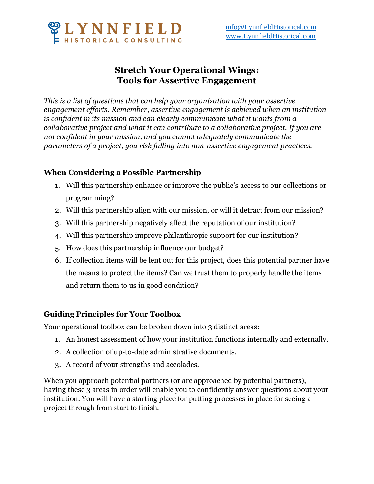

## **Stretch Your Operational Wings: Tools for Assertive Engagement**

*This is a list of questions that can help your organization with your assertive engagement efforts. Remember, assertive engagement is achieved when an institution is confident in its mission and can clearly communicate what it wants from a collaborative project and what it can contribute to a collaborative project. If you are not confident in your mission, and you cannot adequately communicate the parameters of a project, you risk falling into non-assertive engagement practices.* 

## **When Considering a Possible Partnership**

- 1. Will this partnership enhance or improve the public's access to our collections or programming?
- 2. Will this partnership align with our mission, or will it detract from our mission?
- 3. Will this partnership negatively affect the reputation of our institution?
- 4. Will this partnership improve philanthropic support for our institution?
- 5. How does this partnership influence our budget?
- 6. If collection items will be lent out for this project, does this potential partner have the means to protect the items? Can we trust them to properly handle the items and return them to us in good condition?

## **Guiding Principles for Your Toolbox**

Your operational toolbox can be broken down into 3 distinct areas:

- 1. An honest assessment of how your institution functions internally and externally.
- 2. A collection of up-to-date administrative documents.
- 3. A record of your strengths and accolades.

When you approach potential partners (or are approached by potential partners), having these 3 areas in order will enable you to confidently answer questions about your institution. You will have a starting place for putting processes in place for seeing a project through from start to finish.